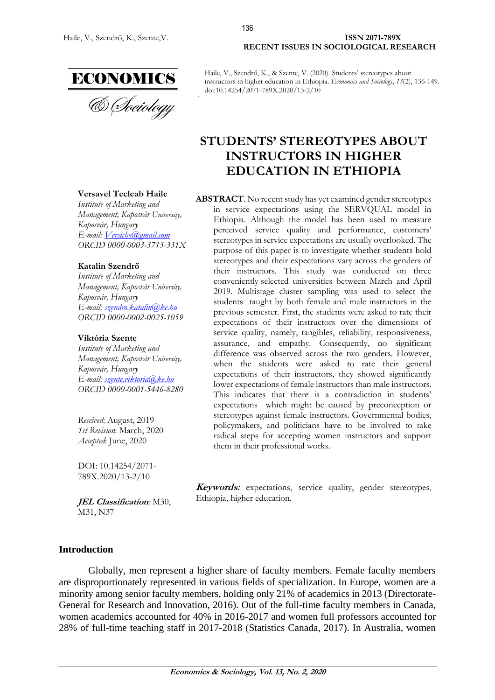

Haile, V., Szendrő, K., & Szente, V. (2020). Students' stereotypes about instructors in higher education in Ethiopia. *Economics and Sociology*, *13*(2), 136-149. doi:10.14254/2071-789X.2020/13-2/10

# **STUDENTS' STEREOTYPES ABOUT INSTRUCTORS IN HIGHER EDUCATION IN ETHIOPIA**

#### **ABSTRACT**. No recent study has yet examined gender stereotypes in service expectations using the SERVQUAL model in Ethiopia. Although the model has been used to measure perceived service quality and performance, customers' stereotypes in service expectations are usually overlooked. The purpose of this paper is to investigate whether students hold stereotypes and their expectations vary across the genders of their instructors. This study was conducted on three conveniently selected universities between March and April 2019. Multistage cluster sampling was used to select the students taught by both female and male instructors in the previous semester. First, the students were asked to rate their expectations of their instructors over the dimensions of service quality, namely, tangibles, reliability, responsiveness, assurance, and empathy. Consequently, no significant difference was observed across the two genders. However, when the students were asked to rate their general expectations of their instructors, they showed significantly lower expectations of female instructors than male instructors. This indicates that there is a contradiction in students' expectations which might be caused by preconception or stereotypes against female instructors. Governmental bodies, policymakers, and politicians have to be involved to take radical steps for accepting women instructors and support them in their professional works.

**Keywords:** expectations, service quality, gender stereotypes, Ethiopia, higher education.

#### *Institute of Marketing and Management, Kaposvár University, Kaposvár, Hungary*

**Versavel Tecleab Haile**

*E-mail: [Versicho@gmail.com](mailto:Versicho@gmail.com) ORCID 0000-0003-3713-331X*

#### **Katalin Szendrő**

*Institute of Marketing and Management, Kaposvár University, Kaposvár, Hungary E-mail: [szendro.katalin@ke.hu](mailto:szendro.katalin@ke.hu) ORCID 0000-0002-0025-1059*

#### **Viktória Szente**

*Institute of Marketing and Management, Kaposvár University, Kaposvár, Hungary E-mail: [szente.viktoria@ke.hu](mailto:szente.viktoria@ke.hu) ORCID 0000-0001-5446-8280*

*Received*: August, 2019 *1st Revision*: March, 2020 *Accepted*: June, 2020

DOI: 10.14254/2071- 789X.2020/13-2/10

**JEL Classification***:* M30, M31, N37

### **Introduction**

Globally, men represent a higher share of faculty members. Female faculty members are disproportionately represented in various fields of specialization. In Europe, women are a minority among senior faculty members, holding only 21% of academics in 2013 (Directorate-General for Research and Innovation, 2016). Out of the full-time faculty members in Canada, women academics accounted for 40% in 2016-2017 and women full professors accounted for 28% of full-time teaching staff in 2017-2018 (Statistics Canada, 2017). In Australia, women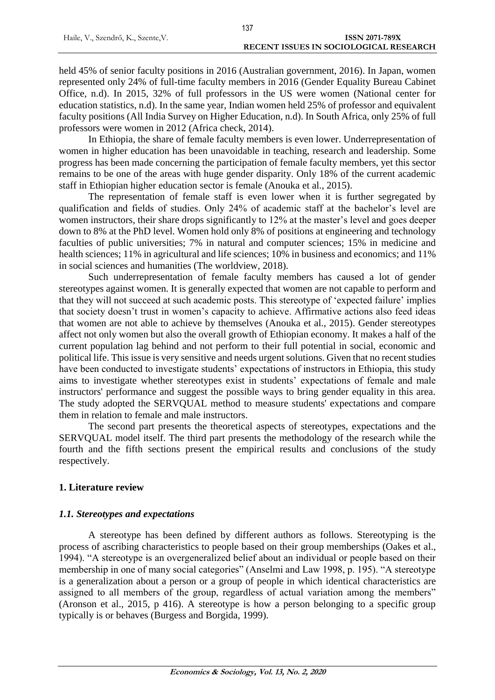held 45% of senior faculty positions in 2016 (Australian government, 2016). In Japan, women represented only 24% of full-time faculty members in 2016 (Gender Equality Bureau Cabinet Office, n.d). In 2015, 32% of full professors in the US were women (National center for education statistics, n.d). In the same year, Indian women held 25% of professor and equivalent faculty positions [\(All India Survey on Higher Education,](http://aishe.nic.in/aishe/reports) n.d). In South Africa, only 25% of full professors were women in 2012 (Africa check, 2014).

In Ethiopia, the share of female faculty members is even lower. Underrepresentation of women in higher education has been unavoidable in teaching, research and leadership. Some progress has been made concerning the participation of female faculty members, yet this sector remains to be one of the areas with huge gender disparity. Only 18% of the current academic staff in Ethiopian higher education sector is female (Anouka et al., 2015).

The representation of female staff is even lower when it is further segregated by qualification and fields of studies. Only 24% of academic staff at the bachelor's level are women instructors, their share drops significantly to 12% at the master's level and goes deeper down to 8% at the PhD level. Women hold only 8% of positions at engineering and technology faculties of public universities; 7% in natural and computer sciences; 15% in medicine and health sciences; 11% in agricultural and life sciences; 10% in business and economics; and 11% in social sciences and humanities (The worldview, 2018).

Such underrepresentation of female faculty members has caused a lot of gender stereotypes against women. It is generally expected that women are not capable to perform and that they will not succeed at such academic posts. This stereotype of 'expected failure' implies that society doesn't trust in women's capacity to achieve. Affirmative actions also feed ideas that women are not able to achieve by themselves (Anouka et al., 2015). Gender stereotypes affect not only women but also the overall growth of Ethiopian economy. It makes a half of the current population lag behind and not perform to their full potential in social, economic and political life. This issue is very sensitive and needs urgent solutions. Given that no recent studies have been conducted to investigate students' expectations of instructors in Ethiopia, this study aims to investigate whether stereotypes exist in students' expectations of female and male instructors' performance and suggest the possible ways to bring gender equality in this area. The study adopted the SERVQUAL method to measure students' expectations and compare them in relation to female and male instructors.

The second part presents the theoretical aspects of stereotypes, expectations and the SERVQUAL model itself. The third part presents the methodology of the research while the fourth and the fifth sections present the empirical results and conclusions of the study respectively.

### **1. Literature review**

#### *1.1. Stereotypes and expectations*

A stereotype has been defined by different authors as follows. Stereotyping is the process of ascribing characteristics to people based on their group memberships (Oakes et al., 1994). "A stereotype is an overgeneralized belief about an individual or people based on their membership in one of many social categories" (Anselmi and Law 1998, p. 195). "A stereotype is a generalization about a person or a group of people in which identical characteristics are assigned to all members of the group, regardless of actual variation among the members" (Aronson et al., 2015, p 416). A stereotype is how a person belonging to a specific group typically is or behaves (Burgess and Borgida, 1999).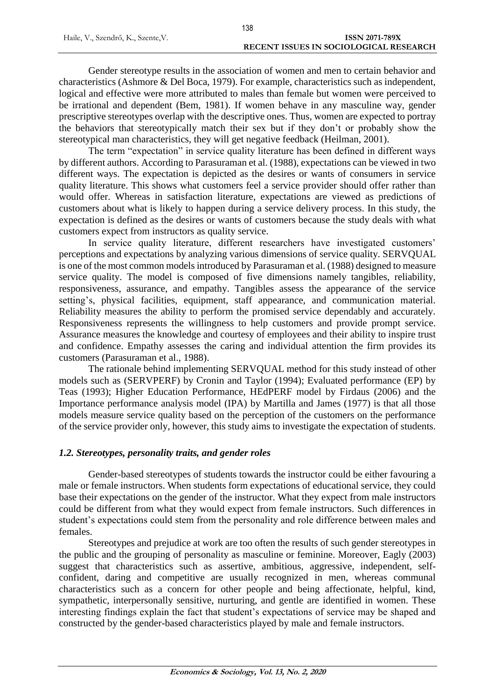Gender stereotype results in the association of women and men to certain behavior and characteristics (Ashmore & Del Boca, 1979). For example, characteristics such as independent, logical and effective were more attributed to males than female but women were perceived to be irrational and dependent (Bem, 1981). If women behave in any masculine way, gender prescriptive stereotypes overlap with the descriptive ones. Thus, women are expected to portray the behaviors that stereotypically match their sex but if they don't or probably show the stereotypical man characteristics, they will get negative feedback (Heilman, 2001).

The term "expectation" in service quality literature has been defined in different ways by different authors. According to Parasuraman et al. (1988), expectations can be viewed in two different ways. The expectation is depicted as the desires or wants of consumers in service quality literature. This shows what customers feel a service provider should offer rather than would offer. Whereas in satisfaction literature, expectations are viewed as predictions of customers about what is likely to happen during a service delivery process. In this study, the expectation is defined as the desires or wants of customers because the study deals with what customers expect from instructors as quality service.

In service quality literature, different researchers have investigated customers' perceptions and expectations by analyzing various dimensions of service quality. SERVQUAL is one of the most common models introduced by Parasuraman et al. (1988) designed to measure service quality. The model is composed of five dimensions namely tangibles, reliability, responsiveness, assurance, and empathy. Tangibles assess the appearance of the service setting's, physical facilities, equipment, staff appearance, and communication material. Reliability measures the ability to perform the promised service dependably and accurately. Responsiveness represents the willingness to help customers and provide prompt service. Assurance measures the knowledge and courtesy of employees and their ability to inspire trust and confidence. Empathy assesses the caring and individual attention the firm provides its customers (Parasuraman et al., 1988).

The rationale behind implementing SERVQUAL method for this study instead of other models such as (SERVPERF) by Cronin and Taylor (1994); Evaluated performance (EP) by Teas (1993); Higher Education Performance, HEdPERF model by Firdaus (2006) and the Importance performance analysis model (IPA) by Martilla and James (1977) is that all those models measure service quality based on the perception of the customers on the performance of the service provider only, however, this study aims to investigate the expectation of students.

#### *1.2. Stereotypes, personality traits, and gender roles*

Gender-based stereotypes of students towards the instructor could be either favouring a male or female instructors. When students form expectations of educational service, they could base their expectations on the gender of the instructor. What they expect from male instructors could be different from what they would expect from female instructors. Such differences in student's expectations could stem from the personality and role difference between males and females.

Stereotypes and prejudice at work are too often the results of such gender stereotypes in the public and the grouping of personality as masculine or feminine. Moreover, Eagly (2003) suggest that characteristics such as assertive, ambitious, aggressive, independent, selfconfident, daring and competitive are usually recognized in men, whereas communal characteristics such as a concern for other people and being affectionate, helpful, kind, sympathetic, interpersonally sensitive, nurturing, and gentle are identified in women. These interesting findings explain the fact that student's expectations of service may be shaped and constructed by the gender-based characteristics played by male and female instructors.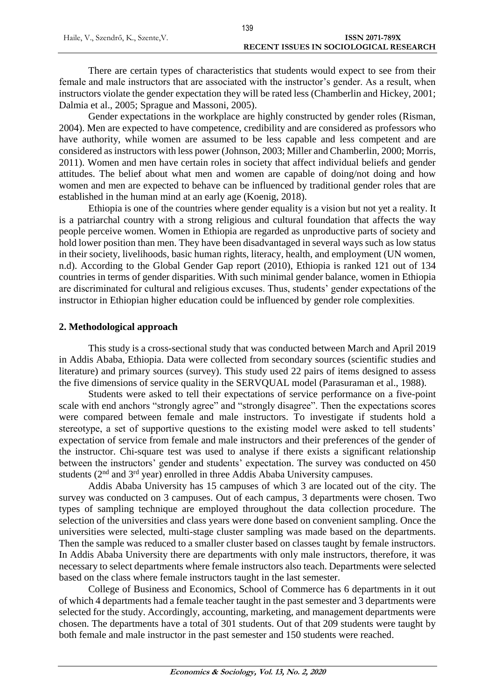There are certain types of characteristics that students would expect to see from their female and male instructors that are associated with the instructor's gender. As a result, when instructors violate the gender expectation they will be rated less (Chamberlin and Hickey, 2001; Dalmia et al., 2005; Sprague and Massoni, 2005).

Gender expectations in the workplace are highly constructed by gender roles (Risman, 2004). Men are expected to have competence, credibility and are considered as professors who have authority, while women are assumed to be less capable and less competent and are considered as instructors with less power (Johnson, 2003; Miller and Chamberlin, 2000; Morris, 2011). Women and men have certain roles in society that affect individual beliefs and gender attitudes. The belief about what men and women are capable of doing/not doing and how women and men are expected to behave can be influenced by traditional gender roles that are established in the human mind at an early age (Koenig, 2018).

Ethiopia is one of the countries where gender equality is a vision but not yet a reality. It is a patriarchal country with a strong religious and cultural foundation that affects the way people perceive women. Women in Ethiopia are regarded as unproductive parts of society and hold lower position than men. They have been disadvantaged in several ways such as low status in their society, livelihoods, basic human rights, literacy, health, and employment (UN women, n.d). According to the Global Gender Gap report (2010), Ethiopia is ranked 121 out of 134 countries in terms of gender disparities. With such minimal gender balance, women in Ethiopia are discriminated for cultural and religious excuses. Thus, students' gender expectations of the instructor in Ethiopian higher education could be influenced by gender role complexities.

### **2. Methodological approach**

This study is a cross-sectional study that was conducted between March and April 2019 in Addis Ababa, Ethiopia. Data were collected from secondary sources (scientific studies and literature) and primary sources (survey). This study used 22 pairs of items designed to assess the five dimensions of service quality in the SERVQUAL model (Parasuraman et al., 1988).

Students were asked to tell their expectations of service performance on a five-point scale with end anchors "strongly agree" and "strongly disagree". Then the expectations scores were compared between female and male instructors. To investigate if students hold a stereotype, a set of supportive questions to the existing model were asked to tell students' expectation of service from female and male instructors and their preferences of the gender of the instructor. Chi-square test was used to analyse if there exists a significant relationship between the instructors' gender and students' expectation. The survey was conducted on 450 students (2<sup>nd</sup> and 3<sup>rd</sup> year) enrolled in three Addis Ababa University campuses.

Addis Ababa University has 15 campuses of which 3 are located out of the city. The survey was conducted on 3 campuses. Out of each campus, 3 departments were chosen. Two types of sampling technique are employed throughout the data collection procedure. The selection of the universities and class years were done based on convenient sampling. Once the universities were selected, multi-stage cluster sampling was made based on the departments. Then the sample was reduced to a smaller cluster based on classes taught by female instructors. In Addis Ababa University there are departments with only male instructors, therefore, it was necessary to select departments where female instructors also teach. Departments were selected based on the class where female instructors taught in the last semester.

College of Business and Economics, School of Commerce has 6 departments in it out of which 4 departments had a female teacher taught in the past semester and 3 departments were selected for the study. Accordingly, accounting, marketing, and management departments were chosen. The departments have a total of 301 students. Out of that 209 students were taught by both female and male instructor in the past semester and 150 students were reached.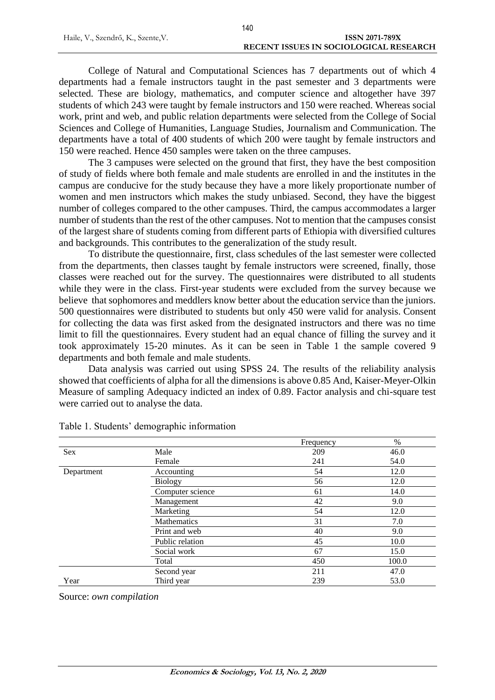College of Natural and Computational Sciences has 7 departments out of which 4 departments had a female instructors taught in the past semester and 3 departments were selected. These are biology, mathematics, and computer science and altogether have 397 students of which 243 were taught by female instructors and 150 were reached. Whereas social work, print and web, and public relation departments were selected from the College of Social Sciences and College of Humanities, Language Studies, Journalism and Communication. The departments have a total of 400 students of which 200 were taught by female instructors and 150 were reached. Hence 450 samples were taken on the three campuses.

The 3 campuses were selected on the ground that first, they have the best composition of study of fields where both female and male students are enrolled in and the institutes in the campus are conducive for the study because they have a more likely proportionate number of women and men instructors which makes the study unbiased. Second, they have the biggest number of colleges compared to the other campuses. Third, the campus accommodates a larger number of students than the rest of the other campuses. Not to mention that the campuses consist of the largest share of students coming from different parts of Ethiopia with diversified cultures and backgrounds. This contributes to the generalization of the study result.

To distribute the questionnaire, first, class schedules of the last semester were collected from the departments, then classes taught by female instructors were screened, finally, those classes were reached out for the survey. The questionnaires were distributed to all students while they were in the class. First-year students were excluded from the survey because we believe that sophomores and meddlers know better about the education service than the juniors. 500 [questionnaires](#page-13-0) were distributed to students but only 450 were valid for analysis. Consent for collecting the data was first asked from the designated instructors and there was no time limit to fill the questionnaires. Every student had an equal chance of filling the survey and it took approximately 15-20 minutes. As it can be seen in Table 1 the sample covered 9 departments and both female and male students.

Data analysis was carried out using SPSS 24. The results of the reliability analysis showed that coefficients of alpha for all the dimensions is above 0.85 And, Kaiser-Meyer-Olkin Measure of sampling Adequacy indicted an index of 0.89. Factor analysis and chi-square test were carried out to analyse the data.

|            |                    | Frequency | %     |
|------------|--------------------|-----------|-------|
| Sex        | Male               | 209       | 46.0  |
|            | Female             | 241       | 54.0  |
| Department | Accounting         | 54        | 12.0  |
|            | <b>Biology</b>     | 56        | 12.0  |
|            | Computer science   | 61        | 14.0  |
|            | Management         | 42        | 9.0   |
|            | Marketing          | 54        | 12.0  |
|            | <b>Mathematics</b> | 31        | 7.0   |
|            | Print and web      | 40        | 9.0   |
|            | Public relation    | 45        | 10.0  |
|            | Social work        | 67        | 15.0  |
|            | Total              | 450       | 100.0 |
|            | Second year        | 211       | 47.0  |
| Year       | Third year         | 239       | 53.0  |

Table 1. Students' demographic information

Source: *own compilation*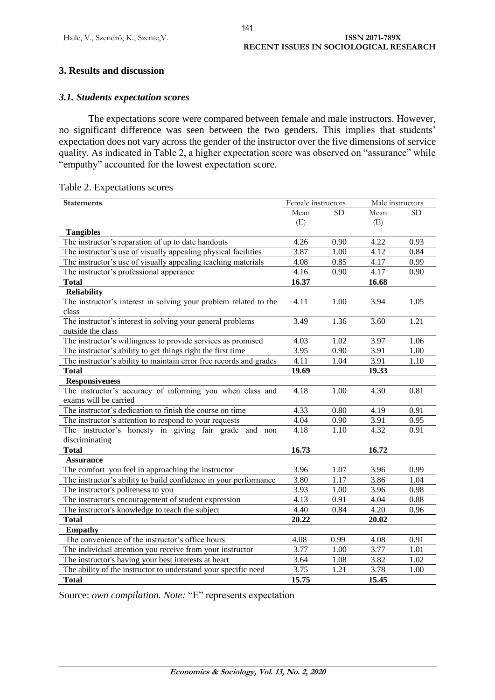## **3. Results and discussion**

### *3.1. Students expectation scores*

The expectations score were compared between female and male instructors. However, no significant difference was seen between the two genders. This implies that students' expectation does not vary across the gender of the instructor over the five dimensions of service quality. As indicated in Table 2, a higher expectation score was observed on "assurance" while "empathy" accounted for the lowest expectation score.

| <b>Statements</b>                                                  | Female instructors |      | Male instructors |           |
|--------------------------------------------------------------------|--------------------|------|------------------|-----------|
|                                                                    | Mean               | SD.  | Mean             | <b>SD</b> |
|                                                                    | (E)                |      | (E)              |           |
| <b>Tangibles</b>                                                   |                    |      |                  |           |
| The instructor's reparation of up to date handouts                 | 4.26               | 0.90 | 4.22             | 0.93      |
| The instructor's use of visually appealing physical facilities     | 3.87               | 1.00 | 4.12             | 0.84      |
| The instructor's use of visually appealing teaching materials      | 4.08               | 0.85 | 4.17             | 0.99      |
| The instructor's professional apperance                            | 4.16               | 0.90 | 4.17             | 0.90      |
| <b>Total</b>                                                       | 16.37              |      | 16.68            |           |
| <b>Reliability</b>                                                 |                    |      |                  |           |
| The instructor's interest in solving your problem related to the   | 4.11               | 1.00 | 3.94             | 1.05      |
| class                                                              |                    |      |                  |           |
| The instructor's interest in solving your general problems         | 3.49               | 1.36 | 3.60             | 1.21      |
| outside the class                                                  |                    |      |                  |           |
| The instructor's willingness to provide services as promised       | 4.03               | 1.02 | 3.97             | 1.06      |
| The instructor's ability to get things right the first time        | 3.95               | 0.90 | 3.91             | 1.00      |
| The instructor's ability to maintain error free records and grades | 4.11               | 1.04 | 3.91             | 1.10      |
| <b>Total</b>                                                       | 19.69              |      | 19.33            |           |
| <b>Responsiveness</b>                                              |                    |      |                  |           |
| The instructor's accuracy of informing you when class and          | 4.18               | 1.00 | 4.30             | 0.81      |
| exams will be carried                                              |                    |      |                  |           |
| The instructor's dedication to finish the course on time           | 4.33               | 0.80 | 4.19             | 0.91      |
| The instructor's attention to respond to your requests             | 4.04               | 0.90 | 3.91             | 0.95      |
| The instructor's honesty in giving fair grade and non              | 4.18               | 1.10 | 4.32             | 0.91      |
| discriminating                                                     |                    |      |                  |           |
| <b>Total</b>                                                       | 16.73              |      | 16.72            |           |
| <b>Assurance</b>                                                   |                    |      |                  |           |
| The comfort you feel in approaching the instructor                 | 3.96               | 1.07 | 3.96             | 0.99      |
| The instructor's ability to build confidence in your performance   | 3.80               | 1.17 | 3.86             | 1.04      |
| The instructor's politeness to you                                 | 3.93               | 1.00 | 3.96             | 0.98      |
| The instructor's encouragement of student expression               | 4.13               | 0.91 | 4.04             | 0.88      |
| The instructor's knowledge to teach the subject                    | 4.40               | 0.84 | 4.20             | 0.96      |
| <b>Total</b>                                                       | 20.22              |      | 20.02            |           |
| <b>Empathy</b>                                                     |                    |      |                  |           |
| The convenience of the instructor's office hours                   | 4.08               | 0.99 | 4.08             | 0.91      |
| The individual attention you receive from your instructor          | 3.77               | 1.00 | 3.77             | 1.01      |
| The instructor's having your best interests at heart               | 3.64               | 1.08 | 3.82             | 1.02      |
| The ability of the instructor to understand your specific need     | 3.75               | 1.21 | 3.78             | 1.00      |
| <b>Total</b>                                                       | 15.75              |      | 15.45            |           |

|  | Table 2. Expectations scores |
|--|------------------------------|
|--|------------------------------|

Source: *own compilation. Note:* "E" represents expectation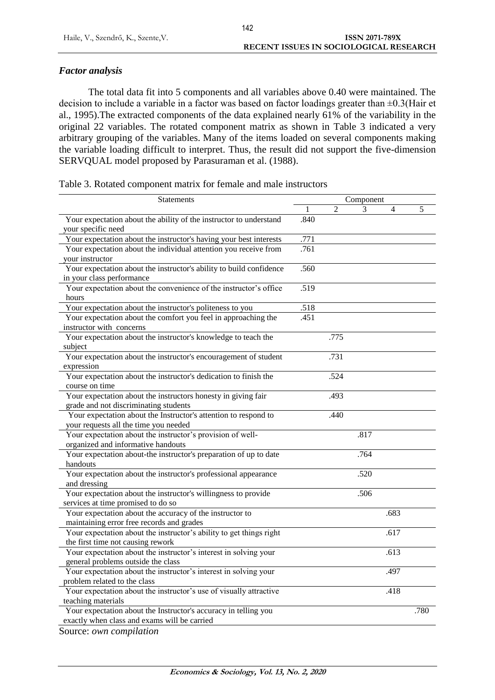## *Factor analysis*

The total data fit into 5 components and all variables above 0.40 were maintained. The decision to include a variable in a factor was based on factor loadings greater than ±0.3(Hair et al., 1995).The extracted components of the data explained nearly 61% of the variability in the original 22 variables. The rotated component matrix as shown in Table 3 indicated a very arbitrary grouping of the variables. Many of the items loaded on several components making the variable loading difficult to interpret. Thus, the result did not support the five-dimension SERVQUAL model proposed by Parasuraman et al. (1988).

| Table 3. Rotated component matrix for female and male instructors |  |  |
|-------------------------------------------------------------------|--|--|

| <b>Statements</b><br>Component<br>$\overline{2}$<br>3<br>4<br>.840<br>Your expectation about the ability of the instructor to understand<br>your specific need<br>Your expectation about the instructor's having your best interests<br>.771<br>.761<br>Your expectation about the individual attention you receive from<br>your instructor<br>Your expectation about the instructor's ability to build confidence<br>.560<br>in your class performance<br>Your expectation about the convenience of the instructor's office<br>.519<br>hours<br>Your expectation about the instructor's politeness to you<br>.518<br>Your expectation about the comfort you feel in approaching the<br>.451<br>instructor with concerns<br>.775<br>Your expectation about the instructor's knowledge to teach the | 5    |
|----------------------------------------------------------------------------------------------------------------------------------------------------------------------------------------------------------------------------------------------------------------------------------------------------------------------------------------------------------------------------------------------------------------------------------------------------------------------------------------------------------------------------------------------------------------------------------------------------------------------------------------------------------------------------------------------------------------------------------------------------------------------------------------------------|------|
|                                                                                                                                                                                                                                                                                                                                                                                                                                                                                                                                                                                                                                                                                                                                                                                                    |      |
|                                                                                                                                                                                                                                                                                                                                                                                                                                                                                                                                                                                                                                                                                                                                                                                                    |      |
|                                                                                                                                                                                                                                                                                                                                                                                                                                                                                                                                                                                                                                                                                                                                                                                                    |      |
|                                                                                                                                                                                                                                                                                                                                                                                                                                                                                                                                                                                                                                                                                                                                                                                                    |      |
|                                                                                                                                                                                                                                                                                                                                                                                                                                                                                                                                                                                                                                                                                                                                                                                                    |      |
|                                                                                                                                                                                                                                                                                                                                                                                                                                                                                                                                                                                                                                                                                                                                                                                                    |      |
|                                                                                                                                                                                                                                                                                                                                                                                                                                                                                                                                                                                                                                                                                                                                                                                                    |      |
|                                                                                                                                                                                                                                                                                                                                                                                                                                                                                                                                                                                                                                                                                                                                                                                                    |      |
|                                                                                                                                                                                                                                                                                                                                                                                                                                                                                                                                                                                                                                                                                                                                                                                                    |      |
|                                                                                                                                                                                                                                                                                                                                                                                                                                                                                                                                                                                                                                                                                                                                                                                                    |      |
| subject<br>Your expectation about the instructor's encouragement of student<br>.731<br>expression                                                                                                                                                                                                                                                                                                                                                                                                                                                                                                                                                                                                                                                                                                  |      |
| Your expectation about the instructor's dedication to finish the<br>.524<br>course on time                                                                                                                                                                                                                                                                                                                                                                                                                                                                                                                                                                                                                                                                                                         |      |
| Your expectation about the instructors honesty in giving fair<br>.493<br>grade and not discriminating students                                                                                                                                                                                                                                                                                                                                                                                                                                                                                                                                                                                                                                                                                     |      |
| Your expectation about the Instructor's attention to respond to<br>.440<br>your requests all the time you needed                                                                                                                                                                                                                                                                                                                                                                                                                                                                                                                                                                                                                                                                                   |      |
| Your expectation about the instructor's provision of well-<br>.817<br>organized and informative handouts                                                                                                                                                                                                                                                                                                                                                                                                                                                                                                                                                                                                                                                                                           |      |
| Your expectation about-the instructor's preparation of up to date<br>.764<br>handouts                                                                                                                                                                                                                                                                                                                                                                                                                                                                                                                                                                                                                                                                                                              |      |
| Your expectation about the instructor's professional appearance<br>.520<br>and dressing                                                                                                                                                                                                                                                                                                                                                                                                                                                                                                                                                                                                                                                                                                            |      |
| Your expectation about the instructor's willingness to provide<br>.506                                                                                                                                                                                                                                                                                                                                                                                                                                                                                                                                                                                                                                                                                                                             |      |
| services at time promised to do so<br>Your expectation about the accuracy of the instructor to<br>.683                                                                                                                                                                                                                                                                                                                                                                                                                                                                                                                                                                                                                                                                                             |      |
| maintaining error free records and grades                                                                                                                                                                                                                                                                                                                                                                                                                                                                                                                                                                                                                                                                                                                                                          |      |
| Your expectation about the instructor's ability to get things right<br>.617<br>the first time not causing rework                                                                                                                                                                                                                                                                                                                                                                                                                                                                                                                                                                                                                                                                                   |      |
| Your expectation about the instructor's interest in solving your<br>.613<br>general problems outside the class                                                                                                                                                                                                                                                                                                                                                                                                                                                                                                                                                                                                                                                                                     |      |
| Your expectation about the instructor's interest in solving your<br>.497                                                                                                                                                                                                                                                                                                                                                                                                                                                                                                                                                                                                                                                                                                                           |      |
| problem related to the class                                                                                                                                                                                                                                                                                                                                                                                                                                                                                                                                                                                                                                                                                                                                                                       |      |
| Your expectation about the instructor's use of visually attractive<br>.418<br>teaching materials                                                                                                                                                                                                                                                                                                                                                                                                                                                                                                                                                                                                                                                                                                   |      |
| Your expectation about the Instructor's accuracy in telling you                                                                                                                                                                                                                                                                                                                                                                                                                                                                                                                                                                                                                                                                                                                                    | .780 |
| exactly when class and exams will be carried                                                                                                                                                                                                                                                                                                                                                                                                                                                                                                                                                                                                                                                                                                                                                       |      |

Source: *own compilation*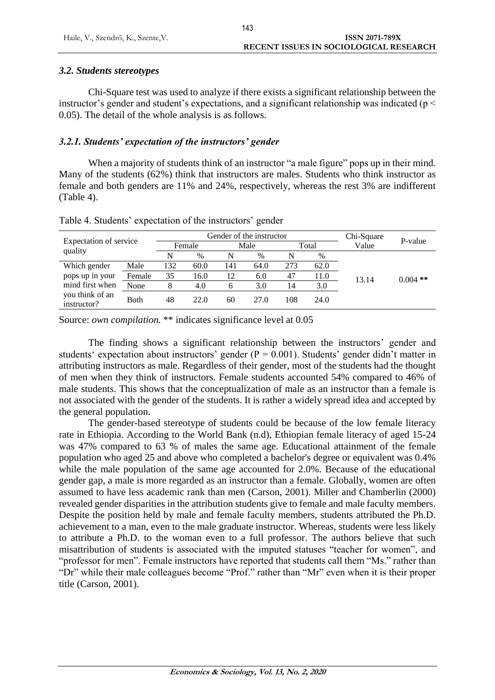### *3.2. Students stereotypes*

Chi-Square test was used to analyze if there exists a significant relationship between the instructor's gender and student's expectations, and a significant relationship was indicated ( $p <$ 0.05). The detail of the whole analysis is as follows.

### *3.2.1. Students' expectation of the instructors' gender*

When a majority of students think of an instructor "a male figure" pops up in their mind. Many of the students (62%) think that instructors are males. Students who think instructor as female and both genders are 11% and 24%, respectively, whereas the rest 3% are indifferent (Table 4).

| Expectation of service<br>quality |        |        |      | Gender of the instructor | Chi-Square | P-value |      |       |            |
|-----------------------------------|--------|--------|------|--------------------------|------------|---------|------|-------|------------|
|                                   |        | Female |      | Male                     |            |         |      | Total |            |
|                                   |        | N      | $\%$ | N                        | %          | N       | %    |       |            |
| Which gender                      | Male   | 132    | 60.0 | 141                      | 64.0       | 273     | 62.0 |       |            |
| pops up in your                   | Female | 35     | 16.0 | 12                       | 6.0        | 47      | 11.0 | 13.14 | $0.004$ ** |
| mind first when                   | None   | 8      | 4.0  | h                        | 3.0        | 14      | 3.0  |       |            |
| you think of an<br>instructor?    | Both   | 48     | 22.0 | 60                       | 27.0       | 108     | 24.0 |       |            |

Table 4. Students' expectation of the instructors' gender

Source: *own compilation.* \*\* indicates significance level at  $0.05$ 

The finding shows a significant relationship between the instructors' gender and students' expectation about instructors' gender ( $P = 0.001$ ). Students' gender didn't matter in attributing instructors as male. Regardless of their gender, most of the students had the thought of men when they think of instructors. Female students accounted 54% compared to 46% of male students. This shows that the conceptualization of male as an instructor than a female is not associated with the gender of the students. It is rather a widely spread idea and accepted by the general population.

The gender-based stereotype of students could be because of the low female literacy rate in Ethiopia. According to the World Bank (n.d), Ethiopian female literacy of aged 15-24 was 47% compared to 63 % of males the same age. Educational attainment of the female population who aged 25 and above who completed a bachelor's degree or equivalent was 0.4% while the male population of the same age accounted for 2.0%. Because of the educational gender gap, a male is more regarded as an instructor than a female. Globally, women are often assumed to have less academic rank than men (Carson, 2001). Miller and Chamberlin (2000) revealed gender disparities in the attribution students give to female and male faculty members. Despite the position held by male and female faculty members, students attributed the Ph.D. achievement to a man, even to the male graduate instructor. Whereas, students were less likely to attribute a Ph.D. to the woman even to a full professor. The authors believe that such misattribution of students is associated with the imputed statuses "teacher for women", and "professor for men". Female instructors have reported that students call them "Ms." rather than "Dr" while their male colleagues become "Prof." rather than "Mr" even when it is their proper title (Carson, 2001).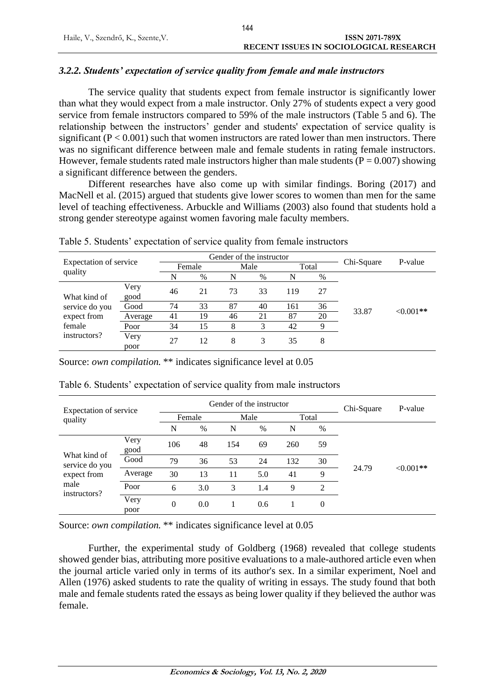### *3.2.2. Students' expectation of service quality from female and male instructors*

The service quality that students expect from female instructor is significantly lower than what they would expect from a male instructor. Only 27% of students expect a very good service from female instructors compared to 59% of the male instructors (Table 5 and 6). The relationship between the instructors' gender and students' expectation of service quality is significant  $(P < 0.001)$  such that women instructors are rated lower than men instructors. There was no significant difference between male and female students in rating female instructors. However, female students rated male instructors higher than male students ( $P = 0.007$ ) showing a significant difference between the genders.

Different researches have also come up with similar findings. Boring (2017) and MacNell et al. (2015) argued that students give lower scores to women than men for the same level of teaching effectiveness. Arbuckle and Williams (2003) also found that students hold a strong gender stereotype against women favoring male faculty members.

| Expectation of service |              |        |      | Gender of the instructor |    | P-value |    |       |            |
|------------------------|--------------|--------|------|--------------------------|----|---------|----|-------|------------|
|                        |              | Female |      | Male                     |    |         |    | Total |            |
| quality                |              | N      | $\%$ | N                        | %  | N       | %  |       |            |
| What kind of           | Very<br>good | 46     | 21   | 73                       | 33 | 119     | 27 |       |            |
| service do you         | Good         | 74     | 33   | 87                       | 40 | 161     | 36 | 33.87 | $<0.001**$ |
| expect from            | Average      | 41     | 19   | 46                       | 21 | 87      | 20 |       |            |
| female                 | Poor         | 34     | 15   | 8                        | 3  | 42      | 9  |       |            |
| instructors?           | Very<br>poor | 27     | 12   | 8                        | 3  | 35      | 8  |       |            |

Table 5. Students' expectation of service quality from female instructors

Source: *own compilation*. \*\* indicates significance level at 0.05

| Expectation of service<br>quality                                     |              |                |        | Gender of the instructor | Chi-Square | P-value |                |       |            |  |
|-----------------------------------------------------------------------|--------------|----------------|--------|--------------------------|------------|---------|----------------|-------|------------|--|
|                                                                       |              |                | Female | Male                     |            | Total   |                |       |            |  |
|                                                                       |              | N              | $\%$   | N                        | %          | N       | $\%$           |       |            |  |
| What kind of<br>service do you<br>expect from<br>male<br>instructors? | Very<br>good | 106            | 48     | 154                      | 69         | 260     | 59             |       |            |  |
|                                                                       | Good         | 79             | 36     | 53                       | 24         | 132     | 30             | 24.79 | $<0.001**$ |  |
|                                                                       | Average      | 30             | 13     | 11                       | 5.0        | 41      | 9              |       |            |  |
|                                                                       | Poor         | 6              | 3.0    | 3                        | 1.4        | 9       | $\overline{2}$ |       |            |  |
|                                                                       | Very<br>poor | $\overline{0}$ | 0.0    |                          | 0.6        |         | $\theta$       |       |            |  |

Table 6. Students' expectation of service quality from male instructors

Source: *own compilation.* \*\* indicates significance level at 0.05

Further, the experimental study of Goldberg (1968) revealed that college students showed gender bias, attributing more positive evaluations to a male-authored article even when the journal article varied only in terms of its author's sex. In a similar experiment, Noel and Allen (1976) asked students to rate the quality of writing in essays. The study found that both male and female students rated the essays as being lower quality if they believed the author was female.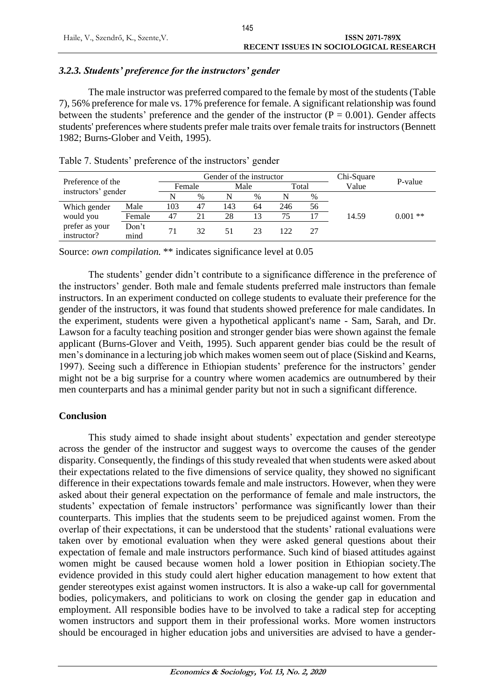### *3.2.3. Students' preference for the instructors' gender*

The male instructor was preferred compared to the female by most of the students (Table 7), 56% preference for male vs. 17% preference for female. A significant relationship was found between the students' preference and the gender of the instructor  $(P = 0.001)$ . Gender affects students' preferences where students prefer male traits over female traits for instructors (Bennett 1982; Burns-Glober and Veith, 1995).

| Preference of the<br>instructors' gender |               |        |      | Gender of the instructor | Chi-Square | P-value |    |       |            |
|------------------------------------------|---------------|--------|------|--------------------------|------------|---------|----|-------|------------|
|                                          |               | Female |      | Male                     |            |         |    | Total |            |
|                                          |               | N      | $\%$ |                          | $\%$       | N       | %  |       |            |
| Which gender                             | Male          | 103    | 47   | 143                      | 64         | 246     | 56 |       |            |
| would you                                | Female        | 47     | 21   | 28                       | 13         |         |    | 14.59 | $0.001$ ** |
| prefer as your<br>instructor?            | Don't<br>mind | 71     | 32   | 51                       | 23         | 122     |    |       |            |

Table 7. Students' preference of the instructors' gender

Source: *own compilation.* \*\* indicates significance level at 0.05

The students' gender didn't contribute to a significance difference in the preference of the instructors' gender. Both male and female students preferred male instructors than female instructors. In an experiment conducted on college students to evaluate their preference for the gender of the instructors, it was found that students showed preference for male candidates. In the experiment, students were given a hypothetical applicant's name - Sam, Sarah, and Dr. Lawson for a faculty teaching position and stronger gender bias were shown against the female applicant (Burns-Glover and Veith, 1995). Such apparent gender bias could be the result of men's dominance in a lecturing job which makes women seem out of place (Siskind and Kearns, 1997). Seeing such a difference in Ethiopian students' preference for the instructors' gender might not be a big surprise for a country where women academics are outnumbered by their men counterparts and has a minimal gender parity but not in such a significant difference.

### **Conclusion**

This study aimed to shade insight about students' expectation and gender stereotype across the gender of the instructor and suggest ways to overcome the causes of the gender disparity. Consequently, the findings of this study revealed that when students were asked about their expectations related to the five dimensions of service quality, they showed no significant difference in their expectations towards female and male instructors. However, when they were asked about their general expectation on the performance of female and male instructors, the students' expectation of female instructors' performance was significantly lower than their counterparts. This implies that the students seem to be prejudiced against women. From the overlap of their expectations, it can be understood that the students' rational evaluations were taken over by emotional evaluation when they were asked general questions about their expectation of female and male instructors performance. Such kind of biased attitudes against women might be caused because women hold a lower position in Ethiopian society.The evidence provided in this study could alert higher education management to how extent that gender stereotypes exist against women instructors. It is also a wake-up call for governmental bodies, policymakers, and politicians to work on closing the gender gap in education and employment. All responsible bodies have to be involved to take a radical step for accepting women instructors and support them in their professional works. More women instructors should be encouraged in higher education jobs and universities are advised to have a gender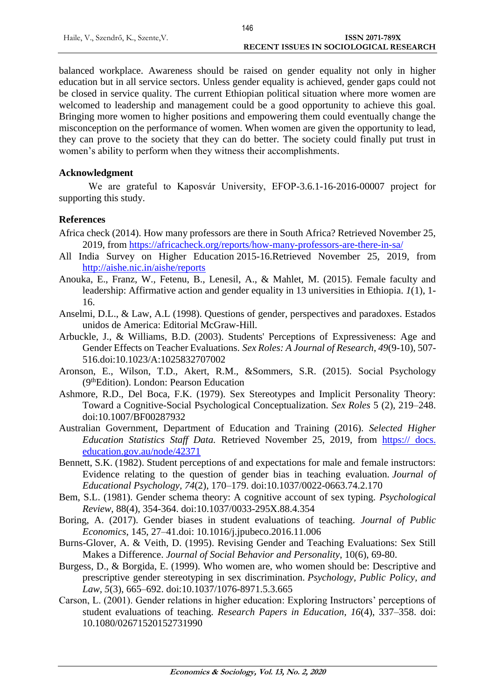balanced workplace. Awareness should be raised on gender equality not only in higher education but in all service sectors. Unless gender equality is achieved, gender gaps could not be closed in service quality. The current Ethiopian political situation where more women are welcomed to leadership and management could be a good opportunity to achieve this goal. Bringing more women to higher positions and empowering them could eventually change the misconception on the performance of women. When women are given the opportunity to lead, they can prove to the society that they can do better. The society could finally put trust in women's ability to perform when they witness their accomplishments.

### **Acknowledgment**

We are grateful to Kaposvár University, EFOP-3.6.1-16-2016-00007 project for supporting this study.

### **References**

- Africa check (2014). How many professors are there in South Africa? Retrieved November 25, 2019, from<https://africacheck.org/reports/how-many-professors-are-there-in-sa/>
- [All India Survey on Higher Education](http://aishe.nic.in/aishe/reports) 2015-16.Retrieved November 25, 2019, from <http://aishe.nic.in/aishe/reports>
- Anouka, E., Franz, W., Fetenu, B., Lenesil, A., & Mahlet, M. (2015). Female faculty and leadership: Affirmative action and gender equality in 13 universities in Ethiopia. *1*(1), 1- 16.
- Anselmi, D.L., & Law, A.L (1998). Questions of gender, perspectives and paradoxes. Estados unidos de America: Editorial McGraw-Hill.
- Arbuckle, J., & Williams, B.D. (2003). Students' Perceptions of Expressiveness: Age and Gender Effects on Teacher Evaluations. *Sex Roles: A Journal of Research*, *49*(9-10), 507- 516.doi:10.1023/A:1025832707002
- Aronson, E., Wilson, T.D., Akert, R.M., &Sommers, S.R. (2015). Social Psychology (9thEdition). London: Pearson Education
- Ashmore, R.D., Del Boca, F.K. (1979). Sex Stereotypes and Implicit Personality Theory: Toward a Cognitive-Social Psychological Conceptualization. *Sex Roles* 5 (2), 219–248. doi:10.1007/BF00287932
- Australian Government, Department of Education and Training (2016). *[Selected Higher](https://docs.education.gov.au/node/42371)  [Education Statistics Staff Data.](https://docs.education.gov.au/node/42371)* Retrieved November 25, 2019, from [https:// docs.](https://docs.education.gov.au/node/42371)  [education.gov.au/node/42371](https://docs.education.gov.au/node/42371)
- Bennett, S.K. (1982). Student perceptions of and expectations for male and female instructors: Evidence relating to the question of gender bias in teaching evaluation. *Journal of Educational Psychology, 74*(2), 170–179. doi:10.1037/0022-0663.74.2.170
- Bem, S.L. (1981). Gender schema theory: A cognitive account of sex typing. *Psychological Review*, 88(4), 354-364. doi:10.1037/0033-295X.88.4.354
- Boring, A. (2017). Gender biases in student evaluations of teaching. *Journal of Public Economics*, 145, 27–41.doi: 10.1016/j.jpubeco.2016.11.006
- Burns-Glover, A. & Veith, D. (1995). Revising Gender and Teaching Evaluations: Sex Still Makes a Difference. *Journal of Social Behavior and Personality*, 10(6), 69-80.
- Burgess, D., & Borgida, E. (1999). Who women are, who women should be: Descriptive and prescriptive gender stereotyping in sex discrimination. *Psychology, Public Policy, and Law, 5*(3), 665–692. doi:10.1037/1076-8971.5.3.665
- Carson, L. (2001). Gender relations in higher education: Exploring Instructors' perceptions of student evaluations of teaching. *Research Papers in Education*, *16*(4), 337–358. doi: 10.1080/02671520152731990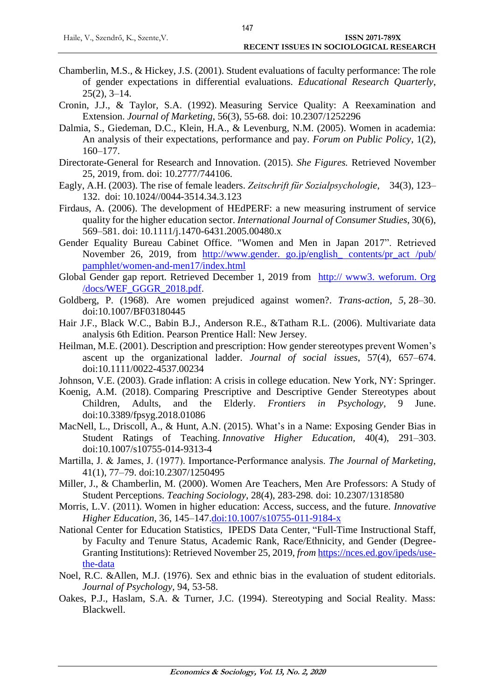- Chamberlin, M.S., & Hickey, J.S. (2001). Student evaluations of faculty performance: The role of gender expectations in differential evaluations. *Educational Research Quarterly*,  $25(2)$ ,  $3-14$ .
- Cronin, J.J., & Taylor, S.A. (1992). Measuring Service Quality: A Reexamination and Extension. *Journal of Marketing*, 56(3), 55-68*.* doi: 10.2307/1252296
- Dalmia, S., Giedeman, D.C., Klein, H.A., & Levenburg, N.M. (2005). Women in academia: An analysis of their expectations, performance and pay. *Forum on Public Policy*, 1(2), 160–177.
- Directorate-General for Research and Innovation. (2015). *She Figures.* Retrieved November 25, 2019, from. doi: 10.2777/744106.
- Eagly, A.H. (2003). The rise of female leaders. *Zeitschrift für Sozialpsychologie*, 34(3), 123– 132. doi: 10.1024//0044-3514.34.3.123
- Firdaus, A. (2006). The development of HEdPERF: a new measuring instrument of service quality for the higher education sector. *International Journal of Consumer Studies*, 30(6), 569–581. doi: 10.1111/j.1470-6431.2005.00480.x
- Gender Equality Bureau Cabinet Office. "Women and Men in Japan 2017". Retrieved November 26, 2019, from http://www.gender. go.jp/english\_ contents/pr\_act /pub/ pamphlet/women-and-men17/index.html
- Global Gender gap report. Retrieved December 1, 2019 from http:// www3. weforum. Org /docs/WEF\_GGGR\_2018.pdf.
- Goldberg, P. (1968). Are women prejudiced against women?. *Trans-action, 5*, 28–30. doi:10.1007/BF03180445
- Hair J.F., Black W.C., Babin B.J., Anderson R.E., &Tatham R.L. (2006). Multivariate data analysis 6th Edition. Pearson Prentice Hall: New Jersey.
- Heilman, M.E. (2001). Description and prescription: How gender stereotypes prevent Women's ascent up the organizational ladder. *Journal of social issues*, 57(4), 657–674. doi:10.1111/0022-4537.00234
- Johnson, V.E. (2003). Grade inflation: A crisis in college education. New York, NY: Springer.
- Koenig, A.M. (2018). Comparing Prescriptive and Descriptive Gender Stereotypes about Children, Adults, and the Elderly. *Frontiers in Psychology*, 9 June. doi:10.3389/fpsyg.2018.01086
- MacNell, L., Driscoll, A., & Hunt, A.N. (2015). What's in a Name: Exposing Gender Bias in Student Ratings of Teaching. *Innovative Higher Education,* 40(4), 291–303. doi:10.1007/s10755-014-9313-4
- Martilla, J. & James, J. (1977). Importance‑Performance analysis. *The Journal of Marketing*, 41(1), 77–79. doi:10.2307/1250495
- Miller, J., & Chamberlin, M. (2000). Women Are Teachers, Men Are Professors: A Study of Student Perceptions. *Teaching Sociology*, 28(4), 283-298*.* doi: 10.2307/1318580
- Morris, L.V. (2011). Women in higher education: Access, success, and the future. *Innovative Higher Education*, 36, 145–147.doi:10.1007/s10755-011-9184-x
- National Center for Education Statistics, IPEDS Data Center, "Full-Time Instructional Staff, by Faculty and Tenure Status, Academic Rank, Race/Ethnicity, and Gender (Degree-Granting Institutions): Retrieved November 25, 2019, *from* [https://nces.ed.gov/ipeds/use](https://nces.ed.gov/ipeds/use-the-data)[the-data](https://nces.ed.gov/ipeds/use-the-data)
- Noel, R.C. &Allen, M.J. (1976). Sex and ethnic bias in the evaluation of student editorials. *Journal of Psychology*, 94, 53-58.
- Oakes, P.J., Haslam, S.A. & Turner, J.C. (1994). Stereotyping and Social Reality. Mass: Blackwell.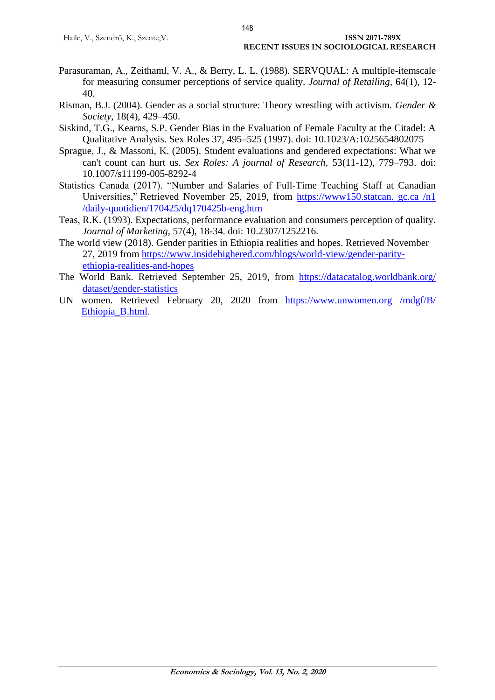- Parasuraman, A., Zeithaml, V. A., & Berry, L. L. (1988). SERVQUAL: A multiple-itemscale for measuring consumer perceptions of service quality. *Journal of Retailing,* 64(1), 12- 40.
- Risman, B.J. (2004). Gender as a social structure: Theory wrestling with activism. *Gender & Society*, 18(4), 429–450.
- Siskind, T.G., Kearns, S.P. Gender Bias in the Evaluation of Female Faculty at the Citadel: A Qualitative Analysis. Sex Roles 37, 495–525 (1997). doi: 10.1023/A:1025654802075
- Sprague, J., & Massoni, K. (2005). Student evaluations and gendered expectations: What we can't count can hurt us. *Sex Roles: A journal of Research,* 53(11-12), 779–793. doi: 10.1007/s11199-005-8292-4
- Statistics Canada (2017). "Number and Salaries of Full-Time Teaching Staff at Canadian Universities," Retrieved November 25, 2019, from https://www150.statcan. gc.ca /n1 /daily-quotidien/170425/dq170425b-eng.htm
- Teas, R.K. (1993). Expectations, performance evaluation and consumers perception of quality. *Journal of Marketing*, 57(4), 18-34. doi: 10.2307/1252216.
- The world view (2018). Gender parities in Ethiopia realities and hopes. Retrieved November 27, 2019 from [https://www.insidehighered.com/blogs/world-view/gender-parity](https://www.insidehighered.com/blogs/world-view/gender-parity-%20ethiopia-realities-and-hopes)[ethiopia-realities-and-hopes](https://www.insidehighered.com/blogs/world-view/gender-parity-%20ethiopia-realities-and-hopes)
- The World Bank. Retrieved September 25, 2019, from [https://datacatalog.worldbank.org/](https://datacatalog.worldbank.org/%20dataset/gender-statistics)  [dataset/gender-statistics](https://datacatalog.worldbank.org/%20dataset/gender-statistics)
- UN women. Retrieved February 20, 2020 from https://www.unwomen.org /mdgf/B/ Ethiopia\_B.html.